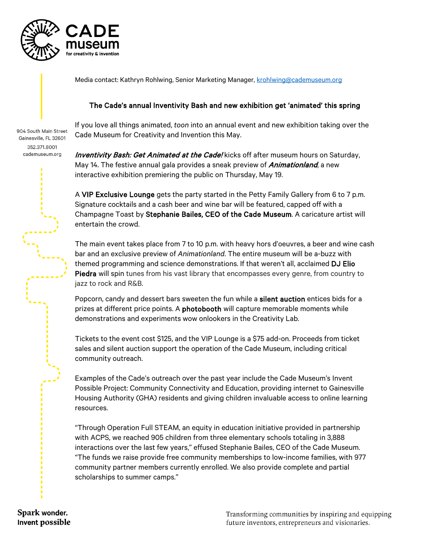

Media contact: Kathryn Rohlwing, Senior Marketing Manager, [krohlwing@cademuseum.org](mailto:krohlwing@cademuseum.org)

## The Cade's annual Inventivity Bash and new exhibition get 'animated' this spring

904 South Main Street Gainesville, FL 32601 352.371.8001 cademuseum.org

If you love all things animated, *toon* into an annual event and new exhibition taking over the Cade Museum for Creativity and Invention this May.

**Inventivity Bash: Get Animated at the Cade!** kicks off after museum hours on Saturday, May 14. The festive annual gala provides a sneak preview of *Animationland*, a new interactive exhibition premiering the public on Thursday, May 19.

A VIP Exclusive Lounge gets the party started in the Petty Family Gallery from 6 to 7 p.m. Signature cocktails and a cash beer and wine bar will be featured, capped off with a Champagne Toast by Stephanie Bailes, CEO of the Cade Museum. A caricature artist will entertain the crowd.

The main event takes place from 7 to 10 p.m. with heavy hors d'oeuvres, a beer and wine cash bar and an exclusive preview of *Animationland*. The entire museum will be a-buzz with themed programming and science demonstrations. If that weren't all, acclaimed DJ Elio Piedra will spin tunes from his vast library that encompasses every genre, from country to jazz to rock and R&B.

Popcorn, candy and dessert bars sweeten the fun while a silent auction entices bids for a prizes at different price points. A photobooth will capture memorable moments while demonstrations and experiments wow onlookers in the Creativity Lab.

Tickets to the event cost \$125, and the VIP Lounge is a \$75 add-on. Proceeds from ticket sales and silent auction support the operation of the Cade Museum, including critical community outreach.

Examples of the Cade's outreach over the past year include the Cade Museum's Invent Possible Project: Community Connectivity and Education, providing internet to Gainesville Housing Authority (GHA) residents and giving children invaluable access to online learning resources.

"Through Operation Full STEAM, an equity in education initiative provided in partnership with ACPS, we reached 905 children from three elementary schools totaling in 3,888 interactions over the last few years," effused Stephanie Bailes, CEO of the Cade Museum. "The funds we raise provide free community memberships to low-income families, with 977 community partner members currently enrolled. We also provide complete and partial scholarships to summer camps."